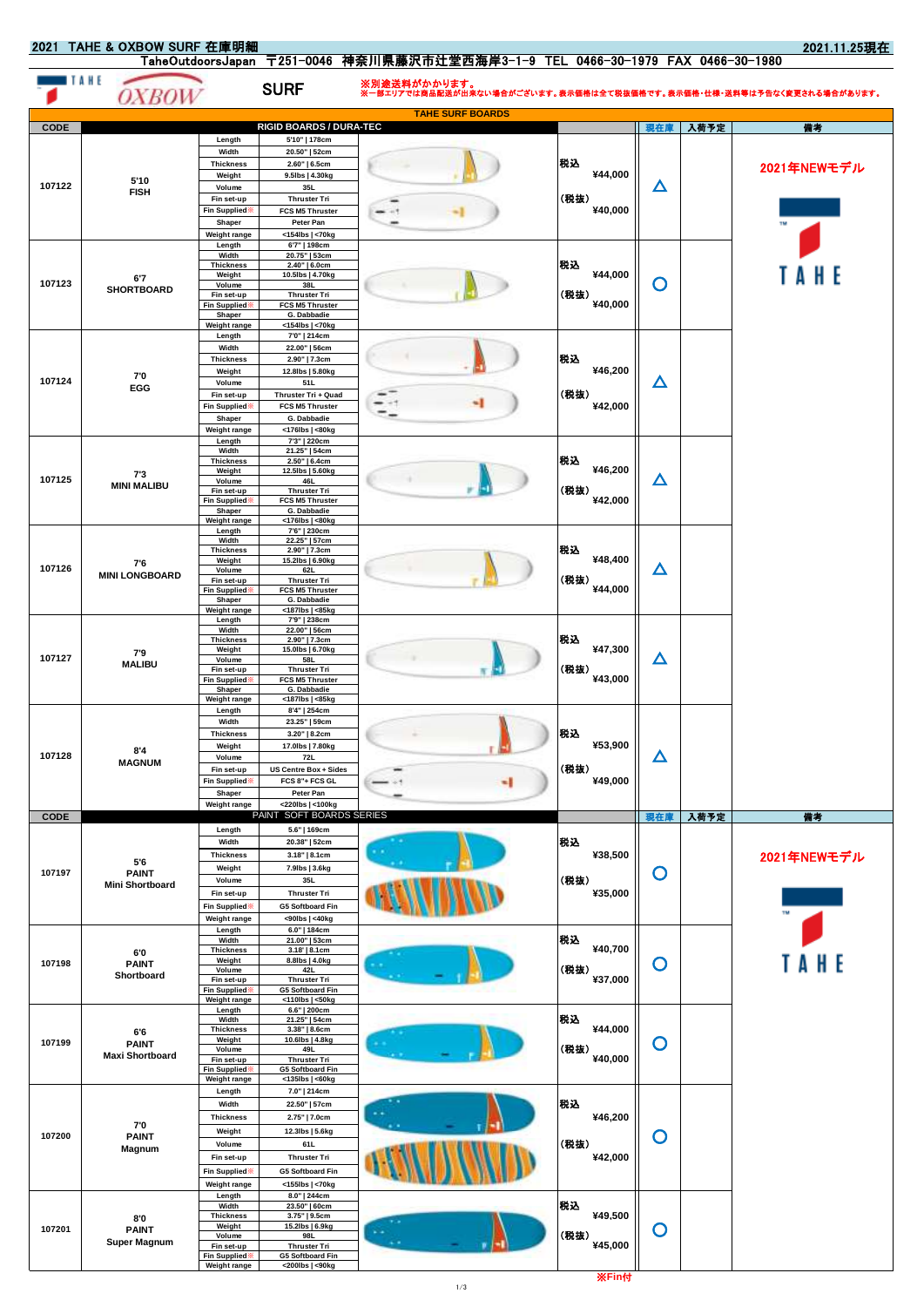2021.11.25現在

|             | TAHE<br><i>OXBOW</i>                          |                                     | <b>SURF</b>                                    | ※別途送料がかかります。<br>※一部エリアでは商品配送が出来ない場合がございます。表示価格は全て税抜価格です。表示価格・仕様・送料等は予告なく変更される場合があります。 |                 |             |      |             |
|-------------|-----------------------------------------------|-------------------------------------|------------------------------------------------|---------------------------------------------------------------------------------------|-----------------|-------------|------|-------------|
|             |                                               |                                     |                                                | <b>TAHE SURF BOARDS</b>                                                               |                 |             |      |             |
| CODE        |                                               | Length                              | RIGID BOARDS / DURA-TEC<br>5'10"   178cm       |                                                                                       |                 | 現在庫         | 入荷予定 | 備考          |
|             |                                               | Width                               | 20.50"   52cm                                  |                                                                                       |                 |             |      |             |
|             | 5'10                                          | <b>Thickness</b><br>Weight          | 2.60"   6.5cm<br>9.5lbs   4.30kg               |                                                                                       | 税込<br>¥44,000   |             |      | 2021年NEWモデル |
| 107122      | <b>FISH</b>                                   | Volume                              | 35L<br><b>Thruster Tri</b>                     |                                                                                       | (税抜)            | Δ           |      |             |
|             |                                               | Fin set-up<br>Fin Supplied          | FCS M5 Thruster                                |                                                                                       | ¥40,000         |             |      |             |
|             |                                               | Shaper<br>Weight range              | Peter Pan<br><154lbs   <70kg                   |                                                                                       |                 |             |      |             |
|             |                                               | Length                              | 6'7"   198cm                                   |                                                                                       |                 |             |      |             |
|             |                                               | Width<br><b>Thickness</b>           | 20.75"   53cm<br>$2.40"$   6.0cm               |                                                                                       | 税込              |             |      |             |
| 107123      | 6'7<br><b>SHORTBOARD</b>                      | Weight<br>Volume                    | 10.5lbs   4.70kg<br>38L                        |                                                                                       | ¥44,000         | O           |      | AHE         |
|             |                                               | Fin set-up<br><b>Fin Supplied</b>   | <b>Thruster Tri</b><br>FCS M5 Thruster         |                                                                                       | (税抜)<br>¥40,000 |             |      |             |
|             |                                               | Shaper<br>Weight range              | G. Dabbadie<br><154lbs   <70kg                 |                                                                                       |                 |             |      |             |
|             |                                               | Length<br>Width                     | 7'0"   214cm<br>22.00"   56cm                  |                                                                                       |                 |             |      |             |
|             |                                               | <b>Thickness</b>                    | 2.90"   7.3cm                                  |                                                                                       | 税込              |             |      |             |
| 107124      | 7'0                                           | Weight<br>Volume                    | 12.8lbs   5.80kg<br>51L                        |                                                                                       | ¥46,200         | Δ           |      |             |
|             | EGG                                           | Fin set-up                          | Thruster Tri + Quad                            |                                                                                       | (税抜)            |             |      |             |
|             |                                               | Fin Supplied<br>Shaper              | FCS M5 Thruster<br>G. Dabbadie                 |                                                                                       | ¥42,000         |             |      |             |
|             |                                               | Weight range                        | <176lbs   <80kg                                |                                                                                       |                 |             |      |             |
|             |                                               | Length<br>Width                     | 7'3"   220cm<br>21.25"   54cm                  |                                                                                       |                 |             |      |             |
|             | 7'3                                           | <b>Thickness</b><br>Weight          | 2.50"   6.4cm<br>12.5lbs   5.60kg              |                                                                                       | 税込<br>¥46,200   |             |      |             |
| 107125      | <b>MINI MALIBU</b>                            | Volume<br>Fin set-up                | 46L<br><b>Thruster Tri</b>                     |                                                                                       | (税抜)            | Δ           |      |             |
|             |                                               | <b>Fin Supplied</b><br>Shaper       | FCS M5 Thruster<br>G. Dabbadie                 |                                                                                       | ¥42,000         |             |      |             |
|             |                                               | Weight range<br>Length              | <176lbs   <80kg<br>7'6"   230cm                |                                                                                       |                 |             |      |             |
|             |                                               | Width<br><b>Thickness</b>           | 22.25"   57cm                                  |                                                                                       | 税込              |             |      |             |
|             | 7'6                                           | Weight                              | 2.90"   7.3cm<br>15.2lbs   6.90kg              |                                                                                       | ¥48,400         |             |      |             |
| 107126      | <b>MINI LONGBOARD</b>                         | Volume<br>Fin set-up                | 62L<br><b>Thruster Tri</b>                     |                                                                                       | (税抜)            | $\Delta$    |      |             |
|             |                                               | Fin Supplied:<br>Shaper             | FCS M5 Thruster<br>G. Dabbadie                 |                                                                                       | ¥44,000         |             |      |             |
|             |                                               | Weight range<br>Length              | <187lbs   <85kg<br>7'9"   238cm                |                                                                                       |                 |             |      |             |
|             |                                               | Width<br><b>Thickness</b>           | 22.00"   56cm<br>2.90"   7.3cm                 |                                                                                       | 税込              |             |      |             |
| 107127      | 7'9                                           | Weight<br>Volume                    | 15.0lbs   6.70kg<br>58L                        |                                                                                       | ¥47,300         | Δ           |      |             |
|             | <b>MALIBU</b>                                 | Fin set-up<br>Fin Supplied          | <b>Thruster Tri</b><br>FCS M5 Thruster         |                                                                                       | (税抜)<br>¥43,000 |             |      |             |
|             |                                               | Shaper                              | G. Dabbadie                                    |                                                                                       |                 |             |      |             |
|             |                                               | <b>Weight range</b><br>Length       | <187lbs   <85kg<br>8'4"   254cm                |                                                                                       |                 | Δ           |      |             |
|             |                                               | Width<br><b>Thickness</b>           | 23.25"   59cm<br>3.20"   8.2cm                 |                                                                                       | 税込              |             |      |             |
|             | 8'4                                           | Weight                              | 17.0lbs   7.80kg                               |                                                                                       | ¥53,900         |             |      |             |
| 107128      | <b>MAGNUM</b>                                 | Volume<br>Fin set-up                | 72L<br>US Centre Box + Sides                   |                                                                                       | (税抜)            |             |      |             |
|             |                                               | <b>Fin Supplied</b>                 | FCS 8"+ FCS GL                                 |                                                                                       | ¥49,000         |             |      |             |
|             |                                               | Shaper<br>Weight range              | Peter Pan<br><220lbs   <100kg                  |                                                                                       |                 |             |      |             |
| <b>CODE</b> |                                               |                                     | PAINT SOFT BOARDS SERIES<br>5.6"   169cm       |                                                                                       |                 | 現在庫         | 入荷予定 | 備考          |
|             |                                               | Length<br>Width                     | 20.38"   52cm                                  |                                                                                       | 税込              |             |      |             |
|             | 5'6<br><b>PAINT</b><br><b>Mini Shortboard</b> | <b>Thickness</b>                    | 3.18"   8.1cm                                  |                                                                                       | ¥38,500         |             |      | 2021年NEWモデル |
| 107197      |                                               | Weight<br>Volume                    | 7.9lbs   3.6kg<br>35L                          |                                                                                       | (税抜)            | O           |      |             |
|             |                                               | Fin set-up                          | <b>Thruster Tri</b>                            |                                                                                       | ¥35,000         |             |      |             |
|             |                                               | Fin Supplied<br>Weight range        | G5 Softboard Fin<br><90lbs   <40kg             |                                                                                       |                 |             |      |             |
|             |                                               | Length<br>Width                     | 6.0"   184cm<br>21.00"   53cm                  |                                                                                       | 税込              |             |      |             |
|             | 6'0                                           | <b>Thickness</b><br>Weight          | 3.18'   8.1cm<br>8.8lbs   4.0kg                |                                                                                       | ¥40,700         |             |      |             |
| 107198      | <b>PAINT</b><br>Shortboard                    | Volume                              | 42L                                            |                                                                                       | (税抜)            | O           |      | H E         |
|             |                                               | Fin set-up<br><b>Fin Supplied</b> : | <b>Thruster Tri</b><br><b>G5 Softboard Fin</b> |                                                                                       | ¥37,000         |             |      |             |
|             |                                               | <b>Weight range</b><br>Length       | <110lbs   <50kg<br>6.6"   200cm                |                                                                                       |                 |             |      |             |
| 107199      | 6'6<br><b>PAINT</b>                           | Width<br><b>Thickness</b>           | 21.25"   54cm<br>3.38"   8.6cm                 |                                                                                       | 税込<br>¥44,000   |             |      |             |
|             |                                               | Weight<br>Volume                    | 10.6lbs   4.8kg<br>49L                         |                                                                                       | (税抜)            | $\mathbf O$ |      |             |
|             | <b>Maxi Shortboard</b>                        | Fin set-up<br><b>Fin Supplied</b>   | <b>Thruster Tri</b><br>G5 Softboard Fin        |                                                                                       | ¥40,000         |             |      |             |
|             |                                               | <b>Weight range</b>                 | <135lbs   <60kg                                |                                                                                       |                 |             |      |             |
|             |                                               | Length<br>Width                     | 7.0"   214cm<br>22.50"   57cm                  |                                                                                       | 税込              |             |      |             |
|             | 70                                            | <b>Thickness</b>                    | 2.75"   7.0cm                                  |                                                                                       | ¥46,200         |             |      |             |
| 107200      | <b>PAINT</b>                                  | Weight<br>Volume                    | 12.3lbs   5.6kg<br>61L                         |                                                                                       | (税抜)            | O           |      |             |
|             | Magnum                                        | Fin set-up                          | <b>Thruster Tri</b>                            |                                                                                       | ¥42,000         |             |      |             |
|             |                                               | <b>Fin Supplied</b>                 | <b>G5 Softboard Fin</b>                        |                                                                                       |                 |             |      |             |
|             |                                               | Weight range<br>Length              | <155lbs   <70kg<br>8.0"   244cm                |                                                                                       |                 |             |      |             |
|             | 8'0                                           | Width<br><b>Thickness</b>           | 23.50"   60cm<br>3.75"   9.5cm                 |                                                                                       | 税込<br>¥49,500   |             |      |             |
| 107201      | <b>PAINT</b>                                  | Weight<br>Volume                    | 15.2lbs   6.9kg<br>98L                         |                                                                                       | (税抜)            | $\mathbf O$ |      |             |
|             | <b>Super Magnum</b>                           | Fin set-up<br><b>Fin Supplied</b>   | <b>Thruster Tri</b><br>G5 Softboard Fin        |                                                                                       | ¥45,000         |             |      |             |
|             |                                               | <b>Weight range</b>                 | <200lbs   <90kg                                |                                                                                       | <b>※Fin付</b>    |             |      |             |
|             |                                               |                                     |                                                | 1/3                                                                                   |                 |             |      |             |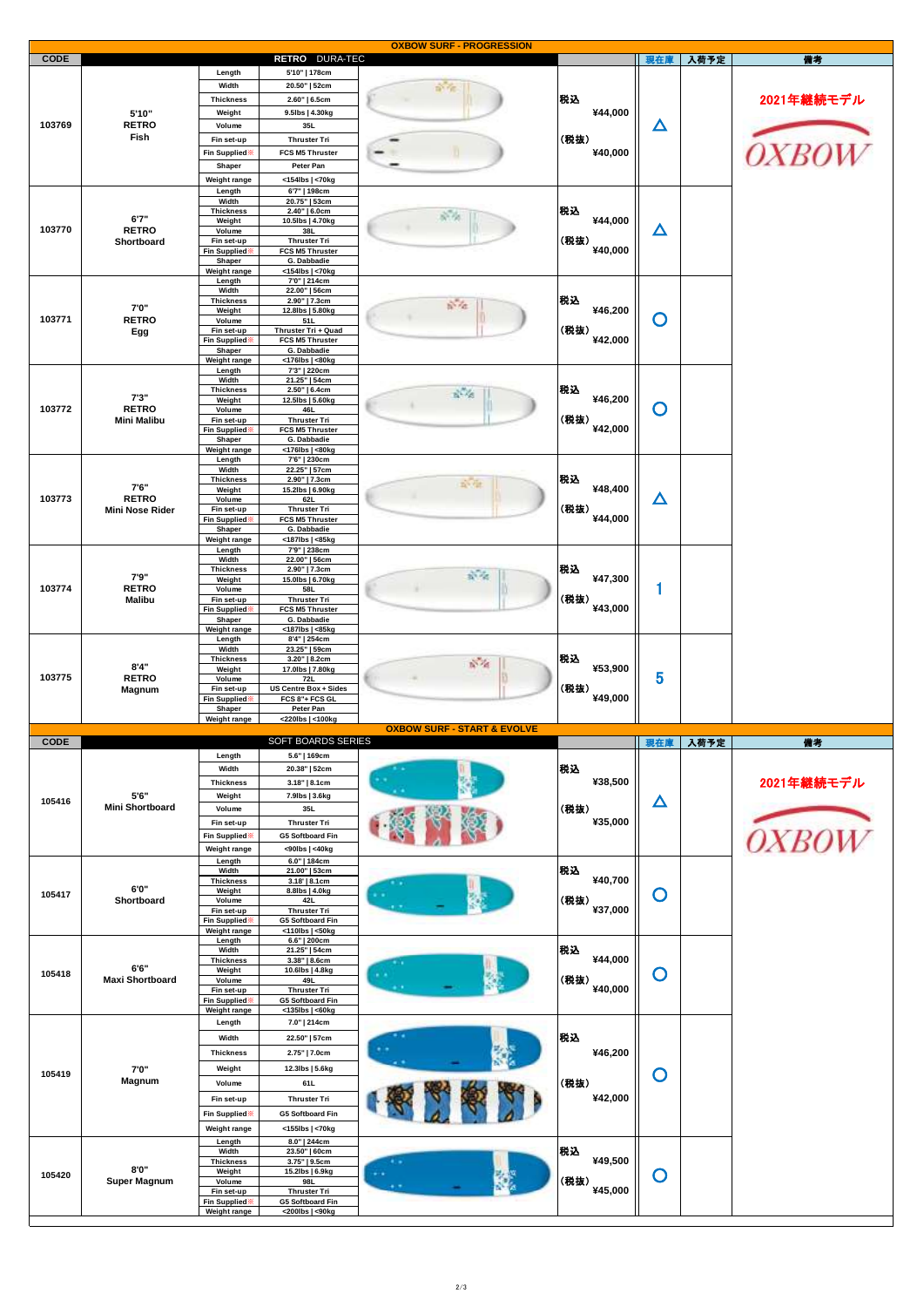| 入荷予定<br><b>CODE</b><br>RETRO DURA-TEC<br>現在庫<br>儒考<br>Length<br>5'10"   178cm<br>Width<br>20.50"   52cm<br><b>SY FE</b><br>税込<br><b>Thickness</b><br>2.60"   6.5cm<br>¥44,000<br>Weight<br>9.5lbs   4.30kg<br>5'10"<br>103769<br><b>RETRO</b><br>Δ<br>35L<br>Volume<br>Fish<br>(税抜)<br><b>Thruster Tri</b><br>Fin set-up<br>IX RO<br>FCS M5 Thruster<br>¥40,000<br>Fin Supplied <sup>*</sup><br>Peter Pan<br>Shaper<br><154lbs   <70kg<br>Weight range<br>Length<br>6'7"   198cm<br>Width<br>20.75"   53cm<br>税込<br><b>Thickness</b><br>2.40"   6.0cm<br>54<br>6'7''<br>¥44,000<br>Weight<br>10.5lbs   4.70kg<br>103770<br>△<br><b>RETRO</b><br>Volume<br>38L<br>(税抜)<br>Shortboard<br><b>Thruster Tri</b><br>Fin set-up<br>¥40,000<br>FCS M5 Thruster<br>Fin Supplied<br>Shaper<br>G. Dabbadie<br>Weight range<br><154lbs   <70kg<br>Length<br>7'0"   214cm<br>Width<br>22.00"   56cm<br>税込<br><b>Thickness</b><br>2.90"   7.3cm<br>$5 - 76$<br>7'0"<br>¥46,200<br>Weight<br>12.8lbs   5.80kg<br>O<br>103771<br><b>RETRO</b><br>Volume<br>51L<br>(税抜)<br>Thruster Tri + Quad<br>Fin set-up<br>Egg<br>¥42,000<br>Fin Supplied <sup>*</sup><br>FCS M5 Thruster<br>Shaper<br>G. Dabbadie<br>Weight range<br><176lbs   <80kg<br>Length<br>7'3"   220cm<br>Width<br>21.25"   54cm<br>税込<br><b>Thickness</b><br>2.50"   6.4cm<br>$R - 48$<br>7'3''<br>¥46,200<br>Weight<br>12.5lbs   5.60kg<br>103772<br>Ő<br><b>RETRO</b><br>Volume<br>46L<br>(税抜)<br>Fin set-up<br><b>Thruster Tri</b><br><b>Mini Malibu</b><br>¥42,000<br>Fin Supplied <sup>*</sup><br>FCS M5 Thruster<br>Shaper<br>G. Dabbadie<br>Weight range<br><176lbs   <80kg<br>Length<br>7'6"   230cm<br>Width<br>22.25"   57cm<br>税込<br><b>Thickness</b><br>2.90"   7.3cm<br>n vir<br>7'6"<br>¥48,400<br>Weight<br>15.2lbs   6.90kg<br>103773<br>$\Delta$<br><b>RETRO</b><br>Volume<br>62L<br>(税抜)<br><b>Thruster Tri</b><br>Fin set-up<br>Mini Nose Rider<br>¥44,000<br>Fin Supplied:<br>FCS M5 Thruster<br>Shaper<br>G. Dabbadie<br>Weight range<br><187lbs   <85kg<br>7'9"   238cm<br>Length<br>Width<br>22.00"   56cm<br>税込<br><b>Thickness</b><br>2.90"   7.3cm<br>$\mathcal{N}_{\mathcal{R}}$<br>7'9"<br>¥47,300<br>15.0lbs   6.70kg<br>Weight<br>1<br>103774<br><b>RETRO</b><br>Volume<br>58L<br>(税抜)<br>Fin set-up<br><b>Thruster Tri</b><br><b>Malibu</b><br>¥43,000<br>FCS M5 Thruster<br>Fin Supplied<br>G. Dabbadie<br>Shaper<br>Weight range<br><187lbs   <85kg<br>Length<br>8'4"   254cm<br>Width<br>23.25"   59cm<br>税込<br><b>Thickness</b><br>$3.20"$   8.2cm<br>$n - d$<br>8'4"<br>¥53,900<br>Weight<br>17.0lbs   7.80kg<br>5<br>103775<br><b>RETRO</b><br>Volume<br>72L<br>(税抜)<br><b>US Centre Box + Sides</b><br>Fin set-up<br>Magnum<br>¥49,000<br>FCS 8"+ FCS GL<br>Fin Supplied<br>Shaper<br>Peter Pan<br>Weight range<br><220lbs   <100kg<br><b>OXBOW SURF - START &amp; EVOLVE</b><br>SOFT BOARDS SERIES<br><b>CODE</b><br>現在庫<br>入荷予定<br>備考<br>5.6"   169cm<br>Length<br>税込<br>Width<br>20.38"   52cm<br>¥38,500<br><b>Thickness</b><br>3.18"   8.1cm<br>5'6"<br>Weight<br>7.9lbs   3.6kg<br>105416<br>△<br><b>Mini Shortboard</b><br>(税抜)<br>Volume<br>35L<br>¥35,000<br>Fin set-up<br><b>Thruster Tri</b><br>Fin Supplied **<br><b>G5 Softboard Fin</b><br><90lbs   <40kg<br>Weight range<br>6.0"   184cm<br>Length<br>税込<br>Width<br>21.00"   53cm<br>¥40,700<br><b>Thickness</b><br>3.18'   8.1cm<br>6'0"<br>Weight<br>8.8lbs   4.0kg<br>O<br>105417<br>(税抜)<br>Shortboard<br>42L<br>Volume<br>¥37,000<br>Fin set-up<br><b>Thruster Tri</b><br>Fin Supplied<br><b>G5 Softboard Fin</b><br>Weight range<br><110lbs   <50kg<br>6.6"   200cm<br>Length<br>税込<br>Width<br>21.25"   54cm<br>¥44,000<br><b>Thickness</b><br>3.38"   8.6cm<br>6'6"<br>Weight<br>10.6lbs   4.8kg<br>$\mathbf O$<br>105418<br>(税抜)<br><b>Maxi Shortboard</b><br>49L<br>Volume<br>¥40,000<br>Fin set-up<br><b>Thruster Tri</b> | 2021年継続モデル<br>2021年継続モデル        |  |  |  | <b>OXBOW SURF - PROGRESSION</b> |  |  |  |
|------------------------------------------------------------------------------------------------------------------------------------------------------------------------------------------------------------------------------------------------------------------------------------------------------------------------------------------------------------------------------------------------------------------------------------------------------------------------------------------------------------------------------------------------------------------------------------------------------------------------------------------------------------------------------------------------------------------------------------------------------------------------------------------------------------------------------------------------------------------------------------------------------------------------------------------------------------------------------------------------------------------------------------------------------------------------------------------------------------------------------------------------------------------------------------------------------------------------------------------------------------------------------------------------------------------------------------------------------------------------------------------------------------------------------------------------------------------------------------------------------------------------------------------------------------------------------------------------------------------------------------------------------------------------------------------------------------------------------------------------------------------------------------------------------------------------------------------------------------------------------------------------------------------------------------------------------------------------------------------------------------------------------------------------------------------------------------------------------------------------------------------------------------------------------------------------------------------------------------------------------------------------------------------------------------------------------------------------------------------------------------------------------------------------------------------------------------------------------------------------------------------------------------------------------------------------------------------------------------------------------------------------------------------------------------------------------------------------------------------------------------------------------------------------------------------------------------------------------------------------------------------------------------------------------------------------------------------------------------------------------------------------------------------------------------------------------------------------------------------------------------------------------------------------------------------------------------------------------------------------------------------------------------------------------------------------------------------------------------------------------------------------------------------------------------------------------------------------------------------------------------------------------------------------------------------------------------------------------------------------------------------------------------------------------------------------------------------------------------------------------------------------------------------------------------------------------------------------------------------------------------------|---------------------------------|--|--|--|---------------------------------|--|--|--|
|                                                                                                                                                                                                                                                                                                                                                                                                                                                                                                                                                                                                                                                                                                                                                                                                                                                                                                                                                                                                                                                                                                                                                                                                                                                                                                                                                                                                                                                                                                                                                                                                                                                                                                                                                                                                                                                                                                                                                                                                                                                                                                                                                                                                                                                                                                                                                                                                                                                                                                                                                                                                                                                                                                                                                                                                                                                                                                                                                                                                                                                                                                                                                                                                                                                                                                                                                                                                                                                                                                                                                                                                                                                                                                                                                                                                                                                                                          |                                 |  |  |  |                                 |  |  |  |
|                                                                                                                                                                                                                                                                                                                                                                                                                                                                                                                                                                                                                                                                                                                                                                                                                                                                                                                                                                                                                                                                                                                                                                                                                                                                                                                                                                                                                                                                                                                                                                                                                                                                                                                                                                                                                                                                                                                                                                                                                                                                                                                                                                                                                                                                                                                                                                                                                                                                                                                                                                                                                                                                                                                                                                                                                                                                                                                                                                                                                                                                                                                                                                                                                                                                                                                                                                                                                                                                                                                                                                                                                                                                                                                                                                                                                                                                                          |                                 |  |  |  |                                 |  |  |  |
|                                                                                                                                                                                                                                                                                                                                                                                                                                                                                                                                                                                                                                                                                                                                                                                                                                                                                                                                                                                                                                                                                                                                                                                                                                                                                                                                                                                                                                                                                                                                                                                                                                                                                                                                                                                                                                                                                                                                                                                                                                                                                                                                                                                                                                                                                                                                                                                                                                                                                                                                                                                                                                                                                                                                                                                                                                                                                                                                                                                                                                                                                                                                                                                                                                                                                                                                                                                                                                                                                                                                                                                                                                                                                                                                                                                                                                                                                          |                                 |  |  |  |                                 |  |  |  |
|                                                                                                                                                                                                                                                                                                                                                                                                                                                                                                                                                                                                                                                                                                                                                                                                                                                                                                                                                                                                                                                                                                                                                                                                                                                                                                                                                                                                                                                                                                                                                                                                                                                                                                                                                                                                                                                                                                                                                                                                                                                                                                                                                                                                                                                                                                                                                                                                                                                                                                                                                                                                                                                                                                                                                                                                                                                                                                                                                                                                                                                                                                                                                                                                                                                                                                                                                                                                                                                                                                                                                                                                                                                                                                                                                                                                                                                                                          |                                 |  |  |  |                                 |  |  |  |
|                                                                                                                                                                                                                                                                                                                                                                                                                                                                                                                                                                                                                                                                                                                                                                                                                                                                                                                                                                                                                                                                                                                                                                                                                                                                                                                                                                                                                                                                                                                                                                                                                                                                                                                                                                                                                                                                                                                                                                                                                                                                                                                                                                                                                                                                                                                                                                                                                                                                                                                                                                                                                                                                                                                                                                                                                                                                                                                                                                                                                                                                                                                                                                                                                                                                                                                                                                                                                                                                                                                                                                                                                                                                                                                                                                                                                                                                                          |                                 |  |  |  |                                 |  |  |  |
|                                                                                                                                                                                                                                                                                                                                                                                                                                                                                                                                                                                                                                                                                                                                                                                                                                                                                                                                                                                                                                                                                                                                                                                                                                                                                                                                                                                                                                                                                                                                                                                                                                                                                                                                                                                                                                                                                                                                                                                                                                                                                                                                                                                                                                                                                                                                                                                                                                                                                                                                                                                                                                                                                                                                                                                                                                                                                                                                                                                                                                                                                                                                                                                                                                                                                                                                                                                                                                                                                                                                                                                                                                                                                                                                                                                                                                                                                          |                                 |  |  |  |                                 |  |  |  |
|                                                                                                                                                                                                                                                                                                                                                                                                                                                                                                                                                                                                                                                                                                                                                                                                                                                                                                                                                                                                                                                                                                                                                                                                                                                                                                                                                                                                                                                                                                                                                                                                                                                                                                                                                                                                                                                                                                                                                                                                                                                                                                                                                                                                                                                                                                                                                                                                                                                                                                                                                                                                                                                                                                                                                                                                                                                                                                                                                                                                                                                                                                                                                                                                                                                                                                                                                                                                                                                                                                                                                                                                                                                                                                                                                                                                                                                                                          |                                 |  |  |  |                                 |  |  |  |
|                                                                                                                                                                                                                                                                                                                                                                                                                                                                                                                                                                                                                                                                                                                                                                                                                                                                                                                                                                                                                                                                                                                                                                                                                                                                                                                                                                                                                                                                                                                                                                                                                                                                                                                                                                                                                                                                                                                                                                                                                                                                                                                                                                                                                                                                                                                                                                                                                                                                                                                                                                                                                                                                                                                                                                                                                                                                                                                                                                                                                                                                                                                                                                                                                                                                                                                                                                                                                                                                                                                                                                                                                                                                                                                                                                                                                                                                                          |                                 |  |  |  |                                 |  |  |  |
|                                                                                                                                                                                                                                                                                                                                                                                                                                                                                                                                                                                                                                                                                                                                                                                                                                                                                                                                                                                                                                                                                                                                                                                                                                                                                                                                                                                                                                                                                                                                                                                                                                                                                                                                                                                                                                                                                                                                                                                                                                                                                                                                                                                                                                                                                                                                                                                                                                                                                                                                                                                                                                                                                                                                                                                                                                                                                                                                                                                                                                                                                                                                                                                                                                                                                                                                                                                                                                                                                                                                                                                                                                                                                                                                                                                                                                                                                          |                                 |  |  |  |                                 |  |  |  |
|                                                                                                                                                                                                                                                                                                                                                                                                                                                                                                                                                                                                                                                                                                                                                                                                                                                                                                                                                                                                                                                                                                                                                                                                                                                                                                                                                                                                                                                                                                                                                                                                                                                                                                                                                                                                                                                                                                                                                                                                                                                                                                                                                                                                                                                                                                                                                                                                                                                                                                                                                                                                                                                                                                                                                                                                                                                                                                                                                                                                                                                                                                                                                                                                                                                                                                                                                                                                                                                                                                                                                                                                                                                                                                                                                                                                                                                                                          |                                 |  |  |  |                                 |  |  |  |
|                                                                                                                                                                                                                                                                                                                                                                                                                                                                                                                                                                                                                                                                                                                                                                                                                                                                                                                                                                                                                                                                                                                                                                                                                                                                                                                                                                                                                                                                                                                                                                                                                                                                                                                                                                                                                                                                                                                                                                                                                                                                                                                                                                                                                                                                                                                                                                                                                                                                                                                                                                                                                                                                                                                                                                                                                                                                                                                                                                                                                                                                                                                                                                                                                                                                                                                                                                                                                                                                                                                                                                                                                                                                                                                                                                                                                                                                                          |                                 |  |  |  |                                 |  |  |  |
|                                                                                                                                                                                                                                                                                                                                                                                                                                                                                                                                                                                                                                                                                                                                                                                                                                                                                                                                                                                                                                                                                                                                                                                                                                                                                                                                                                                                                                                                                                                                                                                                                                                                                                                                                                                                                                                                                                                                                                                                                                                                                                                                                                                                                                                                                                                                                                                                                                                                                                                                                                                                                                                                                                                                                                                                                                                                                                                                                                                                                                                                                                                                                                                                                                                                                                                                                                                                                                                                                                                                                                                                                                                                                                                                                                                                                                                                                          |                                 |  |  |  |                                 |  |  |  |
|                                                                                                                                                                                                                                                                                                                                                                                                                                                                                                                                                                                                                                                                                                                                                                                                                                                                                                                                                                                                                                                                                                                                                                                                                                                                                                                                                                                                                                                                                                                                                                                                                                                                                                                                                                                                                                                                                                                                                                                                                                                                                                                                                                                                                                                                                                                                                                                                                                                                                                                                                                                                                                                                                                                                                                                                                                                                                                                                                                                                                                                                                                                                                                                                                                                                                                                                                                                                                                                                                                                                                                                                                                                                                                                                                                                                                                                                                          |                                 |  |  |  |                                 |  |  |  |
|                                                                                                                                                                                                                                                                                                                                                                                                                                                                                                                                                                                                                                                                                                                                                                                                                                                                                                                                                                                                                                                                                                                                                                                                                                                                                                                                                                                                                                                                                                                                                                                                                                                                                                                                                                                                                                                                                                                                                                                                                                                                                                                                                                                                                                                                                                                                                                                                                                                                                                                                                                                                                                                                                                                                                                                                                                                                                                                                                                                                                                                                                                                                                                                                                                                                                                                                                                                                                                                                                                                                                                                                                                                                                                                                                                                                                                                                                          |                                 |  |  |  |                                 |  |  |  |
|                                                                                                                                                                                                                                                                                                                                                                                                                                                                                                                                                                                                                                                                                                                                                                                                                                                                                                                                                                                                                                                                                                                                                                                                                                                                                                                                                                                                                                                                                                                                                                                                                                                                                                                                                                                                                                                                                                                                                                                                                                                                                                                                                                                                                                                                                                                                                                                                                                                                                                                                                                                                                                                                                                                                                                                                                                                                                                                                                                                                                                                                                                                                                                                                                                                                                                                                                                                                                                                                                                                                                                                                                                                                                                                                                                                                                                                                                          |                                 |  |  |  |                                 |  |  |  |
|                                                                                                                                                                                                                                                                                                                                                                                                                                                                                                                                                                                                                                                                                                                                                                                                                                                                                                                                                                                                                                                                                                                                                                                                                                                                                                                                                                                                                                                                                                                                                                                                                                                                                                                                                                                                                                                                                                                                                                                                                                                                                                                                                                                                                                                                                                                                                                                                                                                                                                                                                                                                                                                                                                                                                                                                                                                                                                                                                                                                                                                                                                                                                                                                                                                                                                                                                                                                                                                                                                                                                                                                                                                                                                                                                                                                                                                                                          |                                 |  |  |  |                                 |  |  |  |
|                                                                                                                                                                                                                                                                                                                                                                                                                                                                                                                                                                                                                                                                                                                                                                                                                                                                                                                                                                                                                                                                                                                                                                                                                                                                                                                                                                                                                                                                                                                                                                                                                                                                                                                                                                                                                                                                                                                                                                                                                                                                                                                                                                                                                                                                                                                                                                                                                                                                                                                                                                                                                                                                                                                                                                                                                                                                                                                                                                                                                                                                                                                                                                                                                                                                                                                                                                                                                                                                                                                                                                                                                                                                                                                                                                                                                                                                                          |                                 |  |  |  |                                 |  |  |  |
|                                                                                                                                                                                                                                                                                                                                                                                                                                                                                                                                                                                                                                                                                                                                                                                                                                                                                                                                                                                                                                                                                                                                                                                                                                                                                                                                                                                                                                                                                                                                                                                                                                                                                                                                                                                                                                                                                                                                                                                                                                                                                                                                                                                                                                                                                                                                                                                                                                                                                                                                                                                                                                                                                                                                                                                                                                                                                                                                                                                                                                                                                                                                                                                                                                                                                                                                                                                                                                                                                                                                                                                                                                                                                                                                                                                                                                                                                          |                                 |  |  |  |                                 |  |  |  |
|                                                                                                                                                                                                                                                                                                                                                                                                                                                                                                                                                                                                                                                                                                                                                                                                                                                                                                                                                                                                                                                                                                                                                                                                                                                                                                                                                                                                                                                                                                                                                                                                                                                                                                                                                                                                                                                                                                                                                                                                                                                                                                                                                                                                                                                                                                                                                                                                                                                                                                                                                                                                                                                                                                                                                                                                                                                                                                                                                                                                                                                                                                                                                                                                                                                                                                                                                                                                                                                                                                                                                                                                                                                                                                                                                                                                                                                                                          |                                 |  |  |  |                                 |  |  |  |
|                                                                                                                                                                                                                                                                                                                                                                                                                                                                                                                                                                                                                                                                                                                                                                                                                                                                                                                                                                                                                                                                                                                                                                                                                                                                                                                                                                                                                                                                                                                                                                                                                                                                                                                                                                                                                                                                                                                                                                                                                                                                                                                                                                                                                                                                                                                                                                                                                                                                                                                                                                                                                                                                                                                                                                                                                                                                                                                                                                                                                                                                                                                                                                                                                                                                                                                                                                                                                                                                                                                                                                                                                                                                                                                                                                                                                                                                                          |                                 |  |  |  |                                 |  |  |  |
|                                                                                                                                                                                                                                                                                                                                                                                                                                                                                                                                                                                                                                                                                                                                                                                                                                                                                                                                                                                                                                                                                                                                                                                                                                                                                                                                                                                                                                                                                                                                                                                                                                                                                                                                                                                                                                                                                                                                                                                                                                                                                                                                                                                                                                                                                                                                                                                                                                                                                                                                                                                                                                                                                                                                                                                                                                                                                                                                                                                                                                                                                                                                                                                                                                                                                                                                                                                                                                                                                                                                                                                                                                                                                                                                                                                                                                                                                          |                                 |  |  |  |                                 |  |  |  |
|                                                                                                                                                                                                                                                                                                                                                                                                                                                                                                                                                                                                                                                                                                                                                                                                                                                                                                                                                                                                                                                                                                                                                                                                                                                                                                                                                                                                                                                                                                                                                                                                                                                                                                                                                                                                                                                                                                                                                                                                                                                                                                                                                                                                                                                                                                                                                                                                                                                                                                                                                                                                                                                                                                                                                                                                                                                                                                                                                                                                                                                                                                                                                                                                                                                                                                                                                                                                                                                                                                                                                                                                                                                                                                                                                                                                                                                                                          |                                 |  |  |  |                                 |  |  |  |
|                                                                                                                                                                                                                                                                                                                                                                                                                                                                                                                                                                                                                                                                                                                                                                                                                                                                                                                                                                                                                                                                                                                                                                                                                                                                                                                                                                                                                                                                                                                                                                                                                                                                                                                                                                                                                                                                                                                                                                                                                                                                                                                                                                                                                                                                                                                                                                                                                                                                                                                                                                                                                                                                                                                                                                                                                                                                                                                                                                                                                                                                                                                                                                                                                                                                                                                                                                                                                                                                                                                                                                                                                                                                                                                                                                                                                                                                                          |                                 |  |  |  |                                 |  |  |  |
|                                                                                                                                                                                                                                                                                                                                                                                                                                                                                                                                                                                                                                                                                                                                                                                                                                                                                                                                                                                                                                                                                                                                                                                                                                                                                                                                                                                                                                                                                                                                                                                                                                                                                                                                                                                                                                                                                                                                                                                                                                                                                                                                                                                                                                                                                                                                                                                                                                                                                                                                                                                                                                                                                                                                                                                                                                                                                                                                                                                                                                                                                                                                                                                                                                                                                                                                                                                                                                                                                                                                                                                                                                                                                                                                                                                                                                                                                          |                                 |  |  |  |                                 |  |  |  |
|                                                                                                                                                                                                                                                                                                                                                                                                                                                                                                                                                                                                                                                                                                                                                                                                                                                                                                                                                                                                                                                                                                                                                                                                                                                                                                                                                                                                                                                                                                                                                                                                                                                                                                                                                                                                                                                                                                                                                                                                                                                                                                                                                                                                                                                                                                                                                                                                                                                                                                                                                                                                                                                                                                                                                                                                                                                                                                                                                                                                                                                                                                                                                                                                                                                                                                                                                                                                                                                                                                                                                                                                                                                                                                                                                                                                                                                                                          |                                 |  |  |  |                                 |  |  |  |
|                                                                                                                                                                                                                                                                                                                                                                                                                                                                                                                                                                                                                                                                                                                                                                                                                                                                                                                                                                                                                                                                                                                                                                                                                                                                                                                                                                                                                                                                                                                                                                                                                                                                                                                                                                                                                                                                                                                                                                                                                                                                                                                                                                                                                                                                                                                                                                                                                                                                                                                                                                                                                                                                                                                                                                                                                                                                                                                                                                                                                                                                                                                                                                                                                                                                                                                                                                                                                                                                                                                                                                                                                                                                                                                                                                                                                                                                                          |                                 |  |  |  |                                 |  |  |  |
|                                                                                                                                                                                                                                                                                                                                                                                                                                                                                                                                                                                                                                                                                                                                                                                                                                                                                                                                                                                                                                                                                                                                                                                                                                                                                                                                                                                                                                                                                                                                                                                                                                                                                                                                                                                                                                                                                                                                                                                                                                                                                                                                                                                                                                                                                                                                                                                                                                                                                                                                                                                                                                                                                                                                                                                                                                                                                                                                                                                                                                                                                                                                                                                                                                                                                                                                                                                                                                                                                                                                                                                                                                                                                                                                                                                                                                                                                          |                                 |  |  |  |                                 |  |  |  |
|                                                                                                                                                                                                                                                                                                                                                                                                                                                                                                                                                                                                                                                                                                                                                                                                                                                                                                                                                                                                                                                                                                                                                                                                                                                                                                                                                                                                                                                                                                                                                                                                                                                                                                                                                                                                                                                                                                                                                                                                                                                                                                                                                                                                                                                                                                                                                                                                                                                                                                                                                                                                                                                                                                                                                                                                                                                                                                                                                                                                                                                                                                                                                                                                                                                                                                                                                                                                                                                                                                                                                                                                                                                                                                                                                                                                                                                                                          |                                 |  |  |  |                                 |  |  |  |
|                                                                                                                                                                                                                                                                                                                                                                                                                                                                                                                                                                                                                                                                                                                                                                                                                                                                                                                                                                                                                                                                                                                                                                                                                                                                                                                                                                                                                                                                                                                                                                                                                                                                                                                                                                                                                                                                                                                                                                                                                                                                                                                                                                                                                                                                                                                                                                                                                                                                                                                                                                                                                                                                                                                                                                                                                                                                                                                                                                                                                                                                                                                                                                                                                                                                                                                                                                                                                                                                                                                                                                                                                                                                                                                                                                                                                                                                                          |                                 |  |  |  |                                 |  |  |  |
|                                                                                                                                                                                                                                                                                                                                                                                                                                                                                                                                                                                                                                                                                                                                                                                                                                                                                                                                                                                                                                                                                                                                                                                                                                                                                                                                                                                                                                                                                                                                                                                                                                                                                                                                                                                                                                                                                                                                                                                                                                                                                                                                                                                                                                                                                                                                                                                                                                                                                                                                                                                                                                                                                                                                                                                                                                                                                                                                                                                                                                                                                                                                                                                                                                                                                                                                                                                                                                                                                                                                                                                                                                                                                                                                                                                                                                                                                          |                                 |  |  |  |                                 |  |  |  |
|                                                                                                                                                                                                                                                                                                                                                                                                                                                                                                                                                                                                                                                                                                                                                                                                                                                                                                                                                                                                                                                                                                                                                                                                                                                                                                                                                                                                                                                                                                                                                                                                                                                                                                                                                                                                                                                                                                                                                                                                                                                                                                                                                                                                                                                                                                                                                                                                                                                                                                                                                                                                                                                                                                                                                                                                                                                                                                                                                                                                                                                                                                                                                                                                                                                                                                                                                                                                                                                                                                                                                                                                                                                                                                                                                                                                                                                                                          |                                 |  |  |  |                                 |  |  |  |
|                                                                                                                                                                                                                                                                                                                                                                                                                                                                                                                                                                                                                                                                                                                                                                                                                                                                                                                                                                                                                                                                                                                                                                                                                                                                                                                                                                                                                                                                                                                                                                                                                                                                                                                                                                                                                                                                                                                                                                                                                                                                                                                                                                                                                                                                                                                                                                                                                                                                                                                                                                                                                                                                                                                                                                                                                                                                                                                                                                                                                                                                                                                                                                                                                                                                                                                                                                                                                                                                                                                                                                                                                                                                                                                                                                                                                                                                                          |                                 |  |  |  |                                 |  |  |  |
|                                                                                                                                                                                                                                                                                                                                                                                                                                                                                                                                                                                                                                                                                                                                                                                                                                                                                                                                                                                                                                                                                                                                                                                                                                                                                                                                                                                                                                                                                                                                                                                                                                                                                                                                                                                                                                                                                                                                                                                                                                                                                                                                                                                                                                                                                                                                                                                                                                                                                                                                                                                                                                                                                                                                                                                                                                                                                                                                                                                                                                                                                                                                                                                                                                                                                                                                                                                                                                                                                                                                                                                                                                                                                                                                                                                                                                                                                          |                                 |  |  |  |                                 |  |  |  |
|                                                                                                                                                                                                                                                                                                                                                                                                                                                                                                                                                                                                                                                                                                                                                                                                                                                                                                                                                                                                                                                                                                                                                                                                                                                                                                                                                                                                                                                                                                                                                                                                                                                                                                                                                                                                                                                                                                                                                                                                                                                                                                                                                                                                                                                                                                                                                                                                                                                                                                                                                                                                                                                                                                                                                                                                                                                                                                                                                                                                                                                                                                                                                                                                                                                                                                                                                                                                                                                                                                                                                                                                                                                                                                                                                                                                                                                                                          |                                 |  |  |  |                                 |  |  |  |
|                                                                                                                                                                                                                                                                                                                                                                                                                                                                                                                                                                                                                                                                                                                                                                                                                                                                                                                                                                                                                                                                                                                                                                                                                                                                                                                                                                                                                                                                                                                                                                                                                                                                                                                                                                                                                                                                                                                                                                                                                                                                                                                                                                                                                                                                                                                                                                                                                                                                                                                                                                                                                                                                                                                                                                                                                                                                                                                                                                                                                                                                                                                                                                                                                                                                                                                                                                                                                                                                                                                                                                                                                                                                                                                                                                                                                                                                                          |                                 |  |  |  |                                 |  |  |  |
|                                                                                                                                                                                                                                                                                                                                                                                                                                                                                                                                                                                                                                                                                                                                                                                                                                                                                                                                                                                                                                                                                                                                                                                                                                                                                                                                                                                                                                                                                                                                                                                                                                                                                                                                                                                                                                                                                                                                                                                                                                                                                                                                                                                                                                                                                                                                                                                                                                                                                                                                                                                                                                                                                                                                                                                                                                                                                                                                                                                                                                                                                                                                                                                                                                                                                                                                                                                                                                                                                                                                                                                                                                                                                                                                                                                                                                                                                          |                                 |  |  |  |                                 |  |  |  |
|                                                                                                                                                                                                                                                                                                                                                                                                                                                                                                                                                                                                                                                                                                                                                                                                                                                                                                                                                                                                                                                                                                                                                                                                                                                                                                                                                                                                                                                                                                                                                                                                                                                                                                                                                                                                                                                                                                                                                                                                                                                                                                                                                                                                                                                                                                                                                                                                                                                                                                                                                                                                                                                                                                                                                                                                                                                                                                                                                                                                                                                                                                                                                                                                                                                                                                                                                                                                                                                                                                                                                                                                                                                                                                                                                                                                                                                                                          |                                 |  |  |  |                                 |  |  |  |
|                                                                                                                                                                                                                                                                                                                                                                                                                                                                                                                                                                                                                                                                                                                                                                                                                                                                                                                                                                                                                                                                                                                                                                                                                                                                                                                                                                                                                                                                                                                                                                                                                                                                                                                                                                                                                                                                                                                                                                                                                                                                                                                                                                                                                                                                                                                                                                                                                                                                                                                                                                                                                                                                                                                                                                                                                                                                                                                                                                                                                                                                                                                                                                                                                                                                                                                                                                                                                                                                                                                                                                                                                                                                                                                                                                                                                                                                                          |                                 |  |  |  |                                 |  |  |  |
|                                                                                                                                                                                                                                                                                                                                                                                                                                                                                                                                                                                                                                                                                                                                                                                                                                                                                                                                                                                                                                                                                                                                                                                                                                                                                                                                                                                                                                                                                                                                                                                                                                                                                                                                                                                                                                                                                                                                                                                                                                                                                                                                                                                                                                                                                                                                                                                                                                                                                                                                                                                                                                                                                                                                                                                                                                                                                                                                                                                                                                                                                                                                                                                                                                                                                                                                                                                                                                                                                                                                                                                                                                                                                                                                                                                                                                                                                          |                                 |  |  |  |                                 |  |  |  |
|                                                                                                                                                                                                                                                                                                                                                                                                                                                                                                                                                                                                                                                                                                                                                                                                                                                                                                                                                                                                                                                                                                                                                                                                                                                                                                                                                                                                                                                                                                                                                                                                                                                                                                                                                                                                                                                                                                                                                                                                                                                                                                                                                                                                                                                                                                                                                                                                                                                                                                                                                                                                                                                                                                                                                                                                                                                                                                                                                                                                                                                                                                                                                                                                                                                                                                                                                                                                                                                                                                                                                                                                                                                                                                                                                                                                                                                                                          |                                 |  |  |  |                                 |  |  |  |
|                                                                                                                                                                                                                                                                                                                                                                                                                                                                                                                                                                                                                                                                                                                                                                                                                                                                                                                                                                                                                                                                                                                                                                                                                                                                                                                                                                                                                                                                                                                                                                                                                                                                                                                                                                                                                                                                                                                                                                                                                                                                                                                                                                                                                                                                                                                                                                                                                                                                                                                                                                                                                                                                                                                                                                                                                                                                                                                                                                                                                                                                                                                                                                                                                                                                                                                                                                                                                                                                                                                                                                                                                                                                                                                                                                                                                                                                                          |                                 |  |  |  |                                 |  |  |  |
|                                                                                                                                                                                                                                                                                                                                                                                                                                                                                                                                                                                                                                                                                                                                                                                                                                                                                                                                                                                                                                                                                                                                                                                                                                                                                                                                                                                                                                                                                                                                                                                                                                                                                                                                                                                                                                                                                                                                                                                                                                                                                                                                                                                                                                                                                                                                                                                                                                                                                                                                                                                                                                                                                                                                                                                                                                                                                                                                                                                                                                                                                                                                                                                                                                                                                                                                                                                                                                                                                                                                                                                                                                                                                                                                                                                                                                                                                          |                                 |  |  |  |                                 |  |  |  |
|                                                                                                                                                                                                                                                                                                                                                                                                                                                                                                                                                                                                                                                                                                                                                                                                                                                                                                                                                                                                                                                                                                                                                                                                                                                                                                                                                                                                                                                                                                                                                                                                                                                                                                                                                                                                                                                                                                                                                                                                                                                                                                                                                                                                                                                                                                                                                                                                                                                                                                                                                                                                                                                                                                                                                                                                                                                                                                                                                                                                                                                                                                                                                                                                                                                                                                                                                                                                                                                                                                                                                                                                                                                                                                                                                                                                                                                                                          |                                 |  |  |  |                                 |  |  |  |
|                                                                                                                                                                                                                                                                                                                                                                                                                                                                                                                                                                                                                                                                                                                                                                                                                                                                                                                                                                                                                                                                                                                                                                                                                                                                                                                                                                                                                                                                                                                                                                                                                                                                                                                                                                                                                                                                                                                                                                                                                                                                                                                                                                                                                                                                                                                                                                                                                                                                                                                                                                                                                                                                                                                                                                                                                                                                                                                                                                                                                                                                                                                                                                                                                                                                                                                                                                                                                                                                                                                                                                                                                                                                                                                                                                                                                                                                                          |                                 |  |  |  |                                 |  |  |  |
|                                                                                                                                                                                                                                                                                                                                                                                                                                                                                                                                                                                                                                                                                                                                                                                                                                                                                                                                                                                                                                                                                                                                                                                                                                                                                                                                                                                                                                                                                                                                                                                                                                                                                                                                                                                                                                                                                                                                                                                                                                                                                                                                                                                                                                                                                                                                                                                                                                                                                                                                                                                                                                                                                                                                                                                                                                                                                                                                                                                                                                                                                                                                                                                                                                                                                                                                                                                                                                                                                                                                                                                                                                                                                                                                                                                                                                                                                          |                                 |  |  |  |                                 |  |  |  |
|                                                                                                                                                                                                                                                                                                                                                                                                                                                                                                                                                                                                                                                                                                                                                                                                                                                                                                                                                                                                                                                                                                                                                                                                                                                                                                                                                                                                                                                                                                                                                                                                                                                                                                                                                                                                                                                                                                                                                                                                                                                                                                                                                                                                                                                                                                                                                                                                                                                                                                                                                                                                                                                                                                                                                                                                                                                                                                                                                                                                                                                                                                                                                                                                                                                                                                                                                                                                                                                                                                                                                                                                                                                                                                                                                                                                                                                                                          |                                 |  |  |  |                                 |  |  |  |
|                                                                                                                                                                                                                                                                                                                                                                                                                                                                                                                                                                                                                                                                                                                                                                                                                                                                                                                                                                                                                                                                                                                                                                                                                                                                                                                                                                                                                                                                                                                                                                                                                                                                                                                                                                                                                                                                                                                                                                                                                                                                                                                                                                                                                                                                                                                                                                                                                                                                                                                                                                                                                                                                                                                                                                                                                                                                                                                                                                                                                                                                                                                                                                                                                                                                                                                                                                                                                                                                                                                                                                                                                                                                                                                                                                                                                                                                                          |                                 |  |  |  |                                 |  |  |  |
|                                                                                                                                                                                                                                                                                                                                                                                                                                                                                                                                                                                                                                                                                                                                                                                                                                                                                                                                                                                                                                                                                                                                                                                                                                                                                                                                                                                                                                                                                                                                                                                                                                                                                                                                                                                                                                                                                                                                                                                                                                                                                                                                                                                                                                                                                                                                                                                                                                                                                                                                                                                                                                                                                                                                                                                                                                                                                                                                                                                                                                                                                                                                                                                                                                                                                                                                                                                                                                                                                                                                                                                                                                                                                                                                                                                                                                                                                          |                                 |  |  |  |                                 |  |  |  |
|                                                                                                                                                                                                                                                                                                                                                                                                                                                                                                                                                                                                                                                                                                                                                                                                                                                                                                                                                                                                                                                                                                                                                                                                                                                                                                                                                                                                                                                                                                                                                                                                                                                                                                                                                                                                                                                                                                                                                                                                                                                                                                                                                                                                                                                                                                                                                                                                                                                                                                                                                                                                                                                                                                                                                                                                                                                                                                                                                                                                                                                                                                                                                                                                                                                                                                                                                                                                                                                                                                                                                                                                                                                                                                                                                                                                                                                                                          |                                 |  |  |  |                                 |  |  |  |
|                                                                                                                                                                                                                                                                                                                                                                                                                                                                                                                                                                                                                                                                                                                                                                                                                                                                                                                                                                                                                                                                                                                                                                                                                                                                                                                                                                                                                                                                                                                                                                                                                                                                                                                                                                                                                                                                                                                                                                                                                                                                                                                                                                                                                                                                                                                                                                                                                                                                                                                                                                                                                                                                                                                                                                                                                                                                                                                                                                                                                                                                                                                                                                                                                                                                                                                                                                                                                                                                                                                                                                                                                                                                                                                                                                                                                                                                                          |                                 |  |  |  |                                 |  |  |  |
|                                                                                                                                                                                                                                                                                                                                                                                                                                                                                                                                                                                                                                                                                                                                                                                                                                                                                                                                                                                                                                                                                                                                                                                                                                                                                                                                                                                                                                                                                                                                                                                                                                                                                                                                                                                                                                                                                                                                                                                                                                                                                                                                                                                                                                                                                                                                                                                                                                                                                                                                                                                                                                                                                                                                                                                                                                                                                                                                                                                                                                                                                                                                                                                                                                                                                                                                                                                                                                                                                                                                                                                                                                                                                                                                                                                                                                                                                          |                                 |  |  |  |                                 |  |  |  |
|                                                                                                                                                                                                                                                                                                                                                                                                                                                                                                                                                                                                                                                                                                                                                                                                                                                                                                                                                                                                                                                                                                                                                                                                                                                                                                                                                                                                                                                                                                                                                                                                                                                                                                                                                                                                                                                                                                                                                                                                                                                                                                                                                                                                                                                                                                                                                                                                                                                                                                                                                                                                                                                                                                                                                                                                                                                                                                                                                                                                                                                                                                                                                                                                                                                                                                                                                                                                                                                                                                                                                                                                                                                                                                                                                                                                                                                                                          |                                 |  |  |  |                                 |  |  |  |
|                                                                                                                                                                                                                                                                                                                                                                                                                                                                                                                                                                                                                                                                                                                                                                                                                                                                                                                                                                                                                                                                                                                                                                                                                                                                                                                                                                                                                                                                                                                                                                                                                                                                                                                                                                                                                                                                                                                                                                                                                                                                                                                                                                                                                                                                                                                                                                                                                                                                                                                                                                                                                                                                                                                                                                                                                                                                                                                                                                                                                                                                                                                                                                                                                                                                                                                                                                                                                                                                                                                                                                                                                                                                                                                                                                                                                                                                                          |                                 |  |  |  |                                 |  |  |  |
|                                                                                                                                                                                                                                                                                                                                                                                                                                                                                                                                                                                                                                                                                                                                                                                                                                                                                                                                                                                                                                                                                                                                                                                                                                                                                                                                                                                                                                                                                                                                                                                                                                                                                                                                                                                                                                                                                                                                                                                                                                                                                                                                                                                                                                                                                                                                                                                                                                                                                                                                                                                                                                                                                                                                                                                                                                                                                                                                                                                                                                                                                                                                                                                                                                                                                                                                                                                                                                                                                                                                                                                                                                                                                                                                                                                                                                                                                          |                                 |  |  |  |                                 |  |  |  |
|                                                                                                                                                                                                                                                                                                                                                                                                                                                                                                                                                                                                                                                                                                                                                                                                                                                                                                                                                                                                                                                                                                                                                                                                                                                                                                                                                                                                                                                                                                                                                                                                                                                                                                                                                                                                                                                                                                                                                                                                                                                                                                                                                                                                                                                                                                                                                                                                                                                                                                                                                                                                                                                                                                                                                                                                                                                                                                                                                                                                                                                                                                                                                                                                                                                                                                                                                                                                                                                                                                                                                                                                                                                                                                                                                                                                                                                                                          |                                 |  |  |  |                                 |  |  |  |
|                                                                                                                                                                                                                                                                                                                                                                                                                                                                                                                                                                                                                                                                                                                                                                                                                                                                                                                                                                                                                                                                                                                                                                                                                                                                                                                                                                                                                                                                                                                                                                                                                                                                                                                                                                                                                                                                                                                                                                                                                                                                                                                                                                                                                                                                                                                                                                                                                                                                                                                                                                                                                                                                                                                                                                                                                                                                                                                                                                                                                                                                                                                                                                                                                                                                                                                                                                                                                                                                                                                                                                                                                                                                                                                                                                                                                                                                                          |                                 |  |  |  |                                 |  |  |  |
|                                                                                                                                                                                                                                                                                                                                                                                                                                                                                                                                                                                                                                                                                                                                                                                                                                                                                                                                                                                                                                                                                                                                                                                                                                                                                                                                                                                                                                                                                                                                                                                                                                                                                                                                                                                                                                                                                                                                                                                                                                                                                                                                                                                                                                                                                                                                                                                                                                                                                                                                                                                                                                                                                                                                                                                                                                                                                                                                                                                                                                                                                                                                                                                                                                                                                                                                                                                                                                                                                                                                                                                                                                                                                                                                                                                                                                                                                          |                                 |  |  |  |                                 |  |  |  |
|                                                                                                                                                                                                                                                                                                                                                                                                                                                                                                                                                                                                                                                                                                                                                                                                                                                                                                                                                                                                                                                                                                                                                                                                                                                                                                                                                                                                                                                                                                                                                                                                                                                                                                                                                                                                                                                                                                                                                                                                                                                                                                                                                                                                                                                                                                                                                                                                                                                                                                                                                                                                                                                                                                                                                                                                                                                                                                                                                                                                                                                                                                                                                                                                                                                                                                                                                                                                                                                                                                                                                                                                                                                                                                                                                                                                                                                                                          |                                 |  |  |  |                                 |  |  |  |
|                                                                                                                                                                                                                                                                                                                                                                                                                                                                                                                                                                                                                                                                                                                                                                                                                                                                                                                                                                                                                                                                                                                                                                                                                                                                                                                                                                                                                                                                                                                                                                                                                                                                                                                                                                                                                                                                                                                                                                                                                                                                                                                                                                                                                                                                                                                                                                                                                                                                                                                                                                                                                                                                                                                                                                                                                                                                                                                                                                                                                                                                                                                                                                                                                                                                                                                                                                                                                                                                                                                                                                                                                                                                                                                                                                                                                                                                                          |                                 |  |  |  |                                 |  |  |  |
|                                                                                                                                                                                                                                                                                                                                                                                                                                                                                                                                                                                                                                                                                                                                                                                                                                                                                                                                                                                                                                                                                                                                                                                                                                                                                                                                                                                                                                                                                                                                                                                                                                                                                                                                                                                                                                                                                                                                                                                                                                                                                                                                                                                                                                                                                                                                                                                                                                                                                                                                                                                                                                                                                                                                                                                                                                                                                                                                                                                                                                                                                                                                                                                                                                                                                                                                                                                                                                                                                                                                                                                                                                                                                                                                                                                                                                                                                          |                                 |  |  |  |                                 |  |  |  |
|                                                                                                                                                                                                                                                                                                                                                                                                                                                                                                                                                                                                                                                                                                                                                                                                                                                                                                                                                                                                                                                                                                                                                                                                                                                                                                                                                                                                                                                                                                                                                                                                                                                                                                                                                                                                                                                                                                                                                                                                                                                                                                                                                                                                                                                                                                                                                                                                                                                                                                                                                                                                                                                                                                                                                                                                                                                                                                                                                                                                                                                                                                                                                                                                                                                                                                                                                                                                                                                                                                                                                                                                                                                                                                                                                                                                                                                                                          |                                 |  |  |  |                                 |  |  |  |
|                                                                                                                                                                                                                                                                                                                                                                                                                                                                                                                                                                                                                                                                                                                                                                                                                                                                                                                                                                                                                                                                                                                                                                                                                                                                                                                                                                                                                                                                                                                                                                                                                                                                                                                                                                                                                                                                                                                                                                                                                                                                                                                                                                                                                                                                                                                                                                                                                                                                                                                                                                                                                                                                                                                                                                                                                                                                                                                                                                                                                                                                                                                                                                                                                                                                                                                                                                                                                                                                                                                                                                                                                                                                                                                                                                                                                                                                                          |                                 |  |  |  |                                 |  |  |  |
|                                                                                                                                                                                                                                                                                                                                                                                                                                                                                                                                                                                                                                                                                                                                                                                                                                                                                                                                                                                                                                                                                                                                                                                                                                                                                                                                                                                                                                                                                                                                                                                                                                                                                                                                                                                                                                                                                                                                                                                                                                                                                                                                                                                                                                                                                                                                                                                                                                                                                                                                                                                                                                                                                                                                                                                                                                                                                                                                                                                                                                                                                                                                                                                                                                                                                                                                                                                                                                                                                                                                                                                                                                                                                                                                                                                                                                                                                          |                                 |  |  |  |                                 |  |  |  |
|                                                                                                                                                                                                                                                                                                                                                                                                                                                                                                                                                                                                                                                                                                                                                                                                                                                                                                                                                                                                                                                                                                                                                                                                                                                                                                                                                                                                                                                                                                                                                                                                                                                                                                                                                                                                                                                                                                                                                                                                                                                                                                                                                                                                                                                                                                                                                                                                                                                                                                                                                                                                                                                                                                                                                                                                                                                                                                                                                                                                                                                                                                                                                                                                                                                                                                                                                                                                                                                                                                                                                                                                                                                                                                                                                                                                                                                                                          |                                 |  |  |  |                                 |  |  |  |
|                                                                                                                                                                                                                                                                                                                                                                                                                                                                                                                                                                                                                                                                                                                                                                                                                                                                                                                                                                                                                                                                                                                                                                                                                                                                                                                                                                                                                                                                                                                                                                                                                                                                                                                                                                                                                                                                                                                                                                                                                                                                                                                                                                                                                                                                                                                                                                                                                                                                                                                                                                                                                                                                                                                                                                                                                                                                                                                                                                                                                                                                                                                                                                                                                                                                                                                                                                                                                                                                                                                                                                                                                                                                                                                                                                                                                                                                                          |                                 |  |  |  |                                 |  |  |  |
| Fin Supplied<br><b>G5 Softboard Fin</b>                                                                                                                                                                                                                                                                                                                                                                                                                                                                                                                                                                                                                                                                                                                                                                                                                                                                                                                                                                                                                                                                                                                                                                                                                                                                                                                                                                                                                                                                                                                                                                                                                                                                                                                                                                                                                                                                                                                                                                                                                                                                                                                                                                                                                                                                                                                                                                                                                                                                                                                                                                                                                                                                                                                                                                                                                                                                                                                                                                                                                                                                                                                                                                                                                                                                                                                                                                                                                                                                                                                                                                                                                                                                                                                                                                                                                                                  |                                 |  |  |  |                                 |  |  |  |
|                                                                                                                                                                                                                                                                                                                                                                                                                                                                                                                                                                                                                                                                                                                                                                                                                                                                                                                                                                                                                                                                                                                                                                                                                                                                                                                                                                                                                                                                                                                                                                                                                                                                                                                                                                                                                                                                                                                                                                                                                                                                                                                                                                                                                                                                                                                                                                                                                                                                                                                                                                                                                                                                                                                                                                                                                                                                                                                                                                                                                                                                                                                                                                                                                                                                                                                                                                                                                                                                                                                                                                                                                                                                                                                                                                                                                                                                                          |                                 |  |  |  |                                 |  |  |  |
|                                                                                                                                                                                                                                                                                                                                                                                                                                                                                                                                                                                                                                                                                                                                                                                                                                                                                                                                                                                                                                                                                                                                                                                                                                                                                                                                                                                                                                                                                                                                                                                                                                                                                                                                                                                                                                                                                                                                                                                                                                                                                                                                                                                                                                                                                                                                                                                                                                                                                                                                                                                                                                                                                                                                                                                                                                                                                                                                                                                                                                                                                                                                                                                                                                                                                                                                                                                                                                                                                                                                                                                                                                                                                                                                                                                                                                                                                          | Weight range<br><135lbs   <60kg |  |  |  |                                 |  |  |  |
| Width                                                                                                                                                                                                                                                                                                                                                                                                                                                                                                                                                                                                                                                                                                                                                                                                                                                                                                                                                                                                                                                                                                                                                                                                                                                                                                                                                                                                                                                                                                                                                                                                                                                                                                                                                                                                                                                                                                                                                                                                                                                                                                                                                                                                                                                                                                                                                                                                                                                                                                                                                                                                                                                                                                                                                                                                                                                                                                                                                                                                                                                                                                                                                                                                                                                                                                                                                                                                                                                                                                                                                                                                                                                                                                                                                                                                                                                                                    | 7.0"   214cm<br>Length          |  |  |  |                                 |  |  |  |
| 税込<br>22.50"   57cm                                                                                                                                                                                                                                                                                                                                                                                                                                                                                                                                                                                                                                                                                                                                                                                                                                                                                                                                                                                                                                                                                                                                                                                                                                                                                                                                                                                                                                                                                                                                                                                                                                                                                                                                                                                                                                                                                                                                                                                                                                                                                                                                                                                                                                                                                                                                                                                                                                                                                                                                                                                                                                                                                                                                                                                                                                                                                                                                                                                                                                                                                                                                                                                                                                                                                                                                                                                                                                                                                                                                                                                                                                                                                                                                                                                                                                                                      |                                 |  |  |  |                                 |  |  |  |
| ¥46,200<br>2.75"   7.0cm<br><b>Thickness</b>                                                                                                                                                                                                                                                                                                                                                                                                                                                                                                                                                                                                                                                                                                                                                                                                                                                                                                                                                                                                                                                                                                                                                                                                                                                                                                                                                                                                                                                                                                                                                                                                                                                                                                                                                                                                                                                                                                                                                                                                                                                                                                                                                                                                                                                                                                                                                                                                                                                                                                                                                                                                                                                                                                                                                                                                                                                                                                                                                                                                                                                                                                                                                                                                                                                                                                                                                                                                                                                                                                                                                                                                                                                                                                                                                                                                                                             |                                 |  |  |  |                                 |  |  |  |
| 7'0"<br>Weight<br>12.3lbs   5.6kg<br>O<br>105419                                                                                                                                                                                                                                                                                                                                                                                                                                                                                                                                                                                                                                                                                                                                                                                                                                                                                                                                                                                                                                                                                                                                                                                                                                                                                                                                                                                                                                                                                                                                                                                                                                                                                                                                                                                                                                                                                                                                                                                                                                                                                                                                                                                                                                                                                                                                                                                                                                                                                                                                                                                                                                                                                                                                                                                                                                                                                                                                                                                                                                                                                                                                                                                                                                                                                                                                                                                                                                                                                                                                                                                                                                                                                                                                                                                                                                         |                                 |  |  |  |                                 |  |  |  |
| Magnum<br>(税抜)<br>Volume<br>61L                                                                                                                                                                                                                                                                                                                                                                                                                                                                                                                                                                                                                                                                                                                                                                                                                                                                                                                                                                                                                                                                                                                                                                                                                                                                                                                                                                                                                                                                                                                                                                                                                                                                                                                                                                                                                                                                                                                                                                                                                                                                                                                                                                                                                                                                                                                                                                                                                                                                                                                                                                                                                                                                                                                                                                                                                                                                                                                                                                                                                                                                                                                                                                                                                                                                                                                                                                                                                                                                                                                                                                                                                                                                                                                                                                                                                                                          |                                 |  |  |  |                                 |  |  |  |
| ¥42,000<br><b>Thruster Tri</b><br>Fin set-up                                                                                                                                                                                                                                                                                                                                                                                                                                                                                                                                                                                                                                                                                                                                                                                                                                                                                                                                                                                                                                                                                                                                                                                                                                                                                                                                                                                                                                                                                                                                                                                                                                                                                                                                                                                                                                                                                                                                                                                                                                                                                                                                                                                                                                                                                                                                                                                                                                                                                                                                                                                                                                                                                                                                                                                                                                                                                                                                                                                                                                                                                                                                                                                                                                                                                                                                                                                                                                                                                                                                                                                                                                                                                                                                                                                                                                             |                                 |  |  |  |                                 |  |  |  |
| Fin Supplied **<br><b>G5 Softboard Fin</b>                                                                                                                                                                                                                                                                                                                                                                                                                                                                                                                                                                                                                                                                                                                                                                                                                                                                                                                                                                                                                                                                                                                                                                                                                                                                                                                                                                                                                                                                                                                                                                                                                                                                                                                                                                                                                                                                                                                                                                                                                                                                                                                                                                                                                                                                                                                                                                                                                                                                                                                                                                                                                                                                                                                                                                                                                                                                                                                                                                                                                                                                                                                                                                                                                                                                                                                                                                                                                                                                                                                                                                                                                                                                                                                                                                                                                                               |                                 |  |  |  |                                 |  |  |  |
| Weight range<br><155lbs   <70kg                                                                                                                                                                                                                                                                                                                                                                                                                                                                                                                                                                                                                                                                                                                                                                                                                                                                                                                                                                                                                                                                                                                                                                                                                                                                                                                                                                                                                                                                                                                                                                                                                                                                                                                                                                                                                                                                                                                                                                                                                                                                                                                                                                                                                                                                                                                                                                                                                                                                                                                                                                                                                                                                                                                                                                                                                                                                                                                                                                                                                                                                                                                                                                                                                                                                                                                                                                                                                                                                                                                                                                                                                                                                                                                                                                                                                                                          |                                 |  |  |  |                                 |  |  |  |
| 8.0"   244cm<br>Length<br>税込<br>Width<br>23.50"   60cm                                                                                                                                                                                                                                                                                                                                                                                                                                                                                                                                                                                                                                                                                                                                                                                                                                                                                                                                                                                                                                                                                                                                                                                                                                                                                                                                                                                                                                                                                                                                                                                                                                                                                                                                                                                                                                                                                                                                                                                                                                                                                                                                                                                                                                                                                                                                                                                                                                                                                                                                                                                                                                                                                                                                                                                                                                                                                                                                                                                                                                                                                                                                                                                                                                                                                                                                                                                                                                                                                                                                                                                                                                                                                                                                                                                                                                   |                                 |  |  |  |                                 |  |  |  |
| ¥49,500<br><b>Thickness</b><br>3.75"   9.5cm                                                                                                                                                                                                                                                                                                                                                                                                                                                                                                                                                                                                                                                                                                                                                                                                                                                                                                                                                                                                                                                                                                                                                                                                                                                                                                                                                                                                                                                                                                                                                                                                                                                                                                                                                                                                                                                                                                                                                                                                                                                                                                                                                                                                                                                                                                                                                                                                                                                                                                                                                                                                                                                                                                                                                                                                                                                                                                                                                                                                                                                                                                                                                                                                                                                                                                                                                                                                                                                                                                                                                                                                                                                                                                                                                                                                                                             |                                 |  |  |  |                                 |  |  |  |
| 8'0"<br>Weight<br>15.2lbs   6.9kg<br>O<br>105420<br>Volume<br>98L                                                                                                                                                                                                                                                                                                                                                                                                                                                                                                                                                                                                                                                                                                                                                                                                                                                                                                                                                                                                                                                                                                                                                                                                                                                                                                                                                                                                                                                                                                                                                                                                                                                                                                                                                                                                                                                                                                                                                                                                                                                                                                                                                                                                                                                                                                                                                                                                                                                                                                                                                                                                                                                                                                                                                                                                                                                                                                                                                                                                                                                                                                                                                                                                                                                                                                                                                                                                                                                                                                                                                                                                                                                                                                                                                                                                                        |                                 |  |  |  |                                 |  |  |  |
| (税抜)<br><b>Super Magnum</b><br>¥45,000<br><b>Thruster Tri</b><br>Fin set-up<br>Fin Supplied <sup>&gt;</sup><br><b>G5 Softboard Fin</b>                                                                                                                                                                                                                                                                                                                                                                                                                                                                                                                                                                                                                                                                                                                                                                                                                                                                                                                                                                                                                                                                                                                                                                                                                                                                                                                                                                                                                                                                                                                                                                                                                                                                                                                                                                                                                                                                                                                                                                                                                                                                                                                                                                                                                                                                                                                                                                                                                                                                                                                                                                                                                                                                                                                                                                                                                                                                                                                                                                                                                                                                                                                                                                                                                                                                                                                                                                                                                                                                                                                                                                                                                                                                                                                                                   |                                 |  |  |  |                                 |  |  |  |
|                                                                                                                                                                                                                                                                                                                                                                                                                                                                                                                                                                                                                                                                                                                                                                                                                                                                                                                                                                                                                                                                                                                                                                                                                                                                                                                                                                                                                                                                                                                                                                                                                                                                                                                                                                                                                                                                                                                                                                                                                                                                                                                                                                                                                                                                                                                                                                                                                                                                                                                                                                                                                                                                                                                                                                                                                                                                                                                                                                                                                                                                                                                                                                                                                                                                                                                                                                                                                                                                                                                                                                                                                                                                                                                                                                                                                                                                                          |                                 |  |  |  |                                 |  |  |  |
|                                                                                                                                                                                                                                                                                                                                                                                                                                                                                                                                                                                                                                                                                                                                                                                                                                                                                                                                                                                                                                                                                                                                                                                                                                                                                                                                                                                                                                                                                                                                                                                                                                                                                                                                                                                                                                                                                                                                                                                                                                                                                                                                                                                                                                                                                                                                                                                                                                                                                                                                                                                                                                                                                                                                                                                                                                                                                                                                                                                                                                                                                                                                                                                                                                                                                                                                                                                                                                                                                                                                                                                                                                                                                                                                                                                                                                                                                          |                                 |  |  |  |                                 |  |  |  |
|                                                                                                                                                                                                                                                                                                                                                                                                                                                                                                                                                                                                                                                                                                                                                                                                                                                                                                                                                                                                                                                                                                                                                                                                                                                                                                                                                                                                                                                                                                                                                                                                                                                                                                                                                                                                                                                                                                                                                                                                                                                                                                                                                                                                                                                                                                                                                                                                                                                                                                                                                                                                                                                                                                                                                                                                                                                                                                                                                                                                                                                                                                                                                                                                                                                                                                                                                                                                                                                                                                                                                                                                                                                                                                                                                                                                                                                                                          |                                 |  |  |  |                                 |  |  |  |
|                                                                                                                                                                                                                                                                                                                                                                                                                                                                                                                                                                                                                                                                                                                                                                                                                                                                                                                                                                                                                                                                                                                                                                                                                                                                                                                                                                                                                                                                                                                                                                                                                                                                                                                                                                                                                                                                                                                                                                                                                                                                                                                                                                                                                                                                                                                                                                                                                                                                                                                                                                                                                                                                                                                                                                                                                                                                                                                                                                                                                                                                                                                                                                                                                                                                                                                                                                                                                                                                                                                                                                                                                                                                                                                                                                                                                                                                                          |                                 |  |  |  |                                 |  |  |  |
|                                                                                                                                                                                                                                                                                                                                                                                                                                                                                                                                                                                                                                                                                                                                                                                                                                                                                                                                                                                                                                                                                                                                                                                                                                                                                                                                                                                                                                                                                                                                                                                                                                                                                                                                                                                                                                                                                                                                                                                                                                                                                                                                                                                                                                                                                                                                                                                                                                                                                                                                                                                                                                                                                                                                                                                                                                                                                                                                                                                                                                                                                                                                                                                                                                                                                                                                                                                                                                                                                                                                                                                                                                                                                                                                                                                                                                                                                          |                                 |  |  |  |                                 |  |  |  |
|                                                                                                                                                                                                                                                                                                                                                                                                                                                                                                                                                                                                                                                                                                                                                                                                                                                                                                                                                                                                                                                                                                                                                                                                                                                                                                                                                                                                                                                                                                                                                                                                                                                                                                                                                                                                                                                                                                                                                                                                                                                                                                                                                                                                                                                                                                                                                                                                                                                                                                                                                                                                                                                                                                                                                                                                                                                                                                                                                                                                                                                                                                                                                                                                                                                                                                                                                                                                                                                                                                                                                                                                                                                                                                                                                                                                                                                                                          |                                 |  |  |  |                                 |  |  |  |
|                                                                                                                                                                                                                                                                                                                                                                                                                                                                                                                                                                                                                                                                                                                                                                                                                                                                                                                                                                                                                                                                                                                                                                                                                                                                                                                                                                                                                                                                                                                                                                                                                                                                                                                                                                                                                                                                                                                                                                                                                                                                                                                                                                                                                                                                                                                                                                                                                                                                                                                                                                                                                                                                                                                                                                                                                                                                                                                                                                                                                                                                                                                                                                                                                                                                                                                                                                                                                                                                                                                                                                                                                                                                                                                                                                                                                                                                                          |                                 |  |  |  |                                 |  |  |  |
|                                                                                                                                                                                                                                                                                                                                                                                                                                                                                                                                                                                                                                                                                                                                                                                                                                                                                                                                                                                                                                                                                                                                                                                                                                                                                                                                                                                                                                                                                                                                                                                                                                                                                                                                                                                                                                                                                                                                                                                                                                                                                                                                                                                                                                                                                                                                                                                                                                                                                                                                                                                                                                                                                                                                                                                                                                                                                                                                                                                                                                                                                                                                                                                                                                                                                                                                                                                                                                                                                                                                                                                                                                                                                                                                                                                                                                                                                          |                                 |  |  |  |                                 |  |  |  |
|                                                                                                                                                                                                                                                                                                                                                                                                                                                                                                                                                                                                                                                                                                                                                                                                                                                                                                                                                                                                                                                                                                                                                                                                                                                                                                                                                                                                                                                                                                                                                                                                                                                                                                                                                                                                                                                                                                                                                                                                                                                                                                                                                                                                                                                                                                                                                                                                                                                                                                                                                                                                                                                                                                                                                                                                                                                                                                                                                                                                                                                                                                                                                                                                                                                                                                                                                                                                                                                                                                                                                                                                                                                                                                                                                                                                                                                                                          |                                 |  |  |  |                                 |  |  |  |
|                                                                                                                                                                                                                                                                                                                                                                                                                                                                                                                                                                                                                                                                                                                                                                                                                                                                                                                                                                                                                                                                                                                                                                                                                                                                                                                                                                                                                                                                                                                                                                                                                                                                                                                                                                                                                                                                                                                                                                                                                                                                                                                                                                                                                                                                                                                                                                                                                                                                                                                                                                                                                                                                                                                                                                                                                                                                                                                                                                                                                                                                                                                                                                                                                                                                                                                                                                                                                                                                                                                                                                                                                                                                                                                                                                                                                                                                                          |                                 |  |  |  |                                 |  |  |  |
|                                                                                                                                                                                                                                                                                                                                                                                                                                                                                                                                                                                                                                                                                                                                                                                                                                                                                                                                                                                                                                                                                                                                                                                                                                                                                                                                                                                                                                                                                                                                                                                                                                                                                                                                                                                                                                                                                                                                                                                                                                                                                                                                                                                                                                                                                                                                                                                                                                                                                                                                                                                                                                                                                                                                                                                                                                                                                                                                                                                                                                                                                                                                                                                                                                                                                                                                                                                                                                                                                                                                                                                                                                                                                                                                                                                                                                                                                          |                                 |  |  |  |                                 |  |  |  |
|                                                                                                                                                                                                                                                                                                                                                                                                                                                                                                                                                                                                                                                                                                                                                                                                                                                                                                                                                                                                                                                                                                                                                                                                                                                                                                                                                                                                                                                                                                                                                                                                                                                                                                                                                                                                                                                                                                                                                                                                                                                                                                                                                                                                                                                                                                                                                                                                                                                                                                                                                                                                                                                                                                                                                                                                                                                                                                                                                                                                                                                                                                                                                                                                                                                                                                                                                                                                                                                                                                                                                                                                                                                                                                                                                                                                                                                                                          |                                 |  |  |  |                                 |  |  |  |